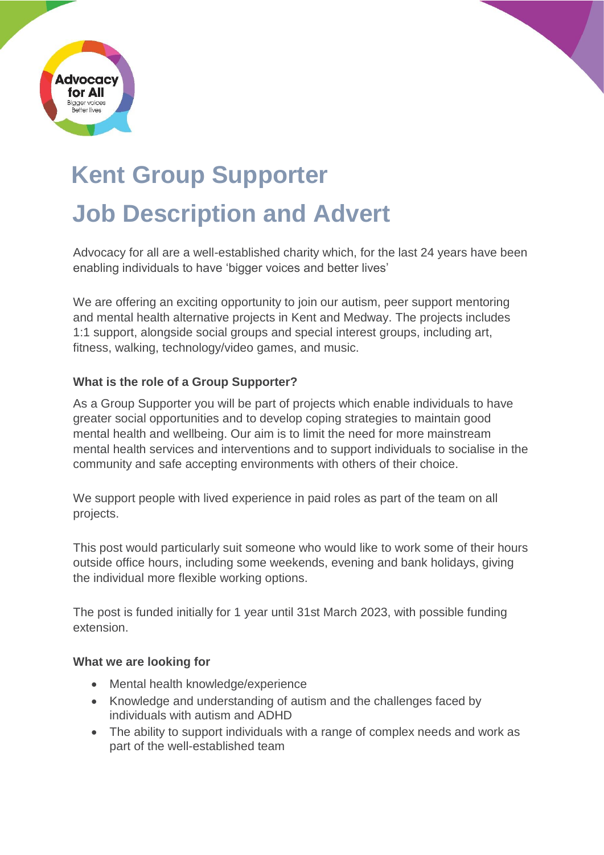

# **Kent Group Supporter Job Description and Advert**

Advocacy for all are a well-established charity which, for the last 24 years have been enabling individuals to have 'bigger voices and better lives'

We are offering an exciting opportunity to join our autism, peer support mentoring and mental health alternative projects in Kent and Medway. The projects includes 1:1 support, alongside social groups and special interest groups, including art, fitness, walking, technology/video games, and music.

## **What is the role of a Group Supporter?**

As a Group Supporter you will be part of projects which enable individuals to have greater social opportunities and to develop coping strategies to maintain good mental health and wellbeing. Our aim is to limit the need for more mainstream mental health services and interventions and to support individuals to socialise in the community and safe accepting environments with others of their choice.

We support people with lived experience in paid roles as part of the team on all projects.

This post would particularly suit someone who would like to work some of their hours outside office hours, including some weekends, evening and bank holidays, giving the individual more flexible working options.

The post is funded initially for 1 year until 31st March 2023, with possible funding extension.

### **What we are looking for**

- Mental health knowledge/experience
- Knowledge and understanding of autism and the challenges faced by individuals with autism and ADHD
- The ability to support individuals with a range of complex needs and work as part of the well-established team